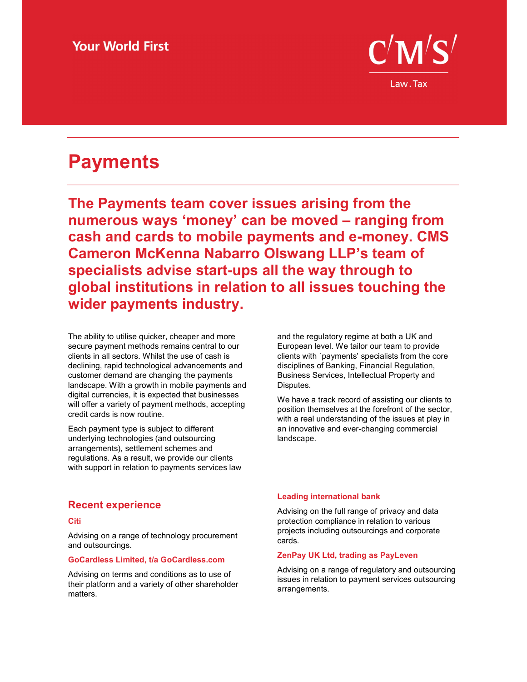# **Your World First**



# Payments

The Payments team cover issues arising from the numerous ways 'money' can be moved – ranging from cash and cards to mobile payments and e-money. CMS Cameron McKenna Nabarro Olswang LLP's team of specialists advise start-ups all the way through to global institutions in relation to all issues touching the wider payments industry.

The ability to utilise quicker, cheaper and more secure payment methods remains central to our clients in all sectors. Whilst the use of cash is declining, rapid technological advancements and customer demand are changing the payments landscape. With a growth in mobile payments and digital currencies, it is expected that businesses will offer a variety of payment methods, accepting credit cards is now routine.

Each payment type is subject to different underlying technologies (and outsourcing arrangements), settlement schemes and regulations. As a result, we provide our clients with support in relation to payments services law

and the regulatory regime at both a UK and European level. We tailor our team to provide clients with `payments' specialists from the core disciplines of Banking, Financial Regulation, Business Services, Intellectual Property and Disputes.

We have a track record of assisting our clients to position themselves at the forefront of the sector, with a real understanding of the issues at play in an innovative and ever-changing commercial landscape.

## Recent experience

#### Citi

Advising on a range of technology procurement and outsourcings.

#### GoCardless Limited, t/a GoCardless.com

Advising on terms and conditions as to use of their platform and a variety of other shareholder matters.

#### Leading international bank

Advising on the full range of privacy and data protection compliance in relation to various projects including outsourcings and corporate cards.

#### ZenPay UK Ltd, trading as PayLeven

Advising on a range of regulatory and outsourcing issues in relation to payment services outsourcing arrangements.